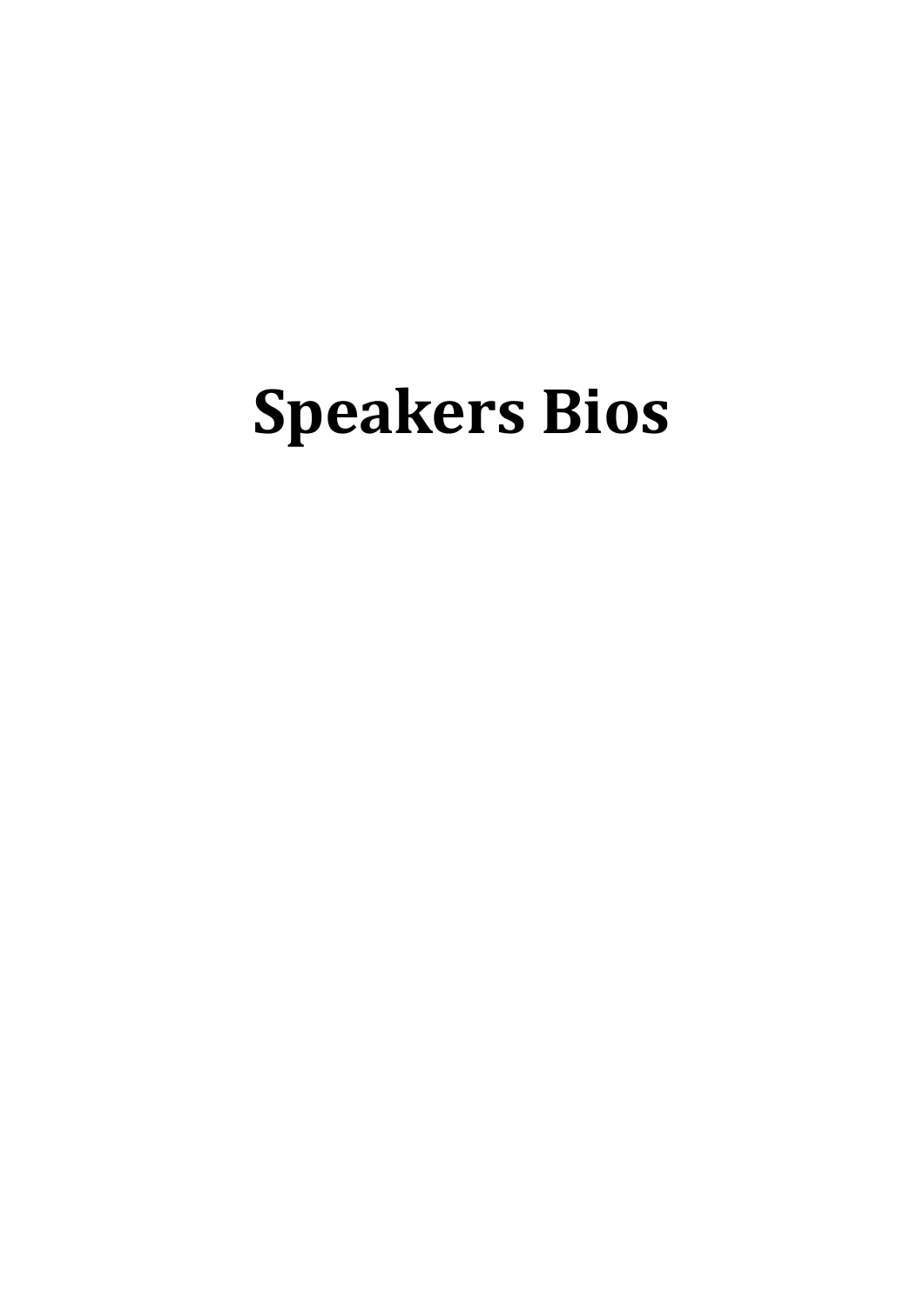# **Speakers Bios**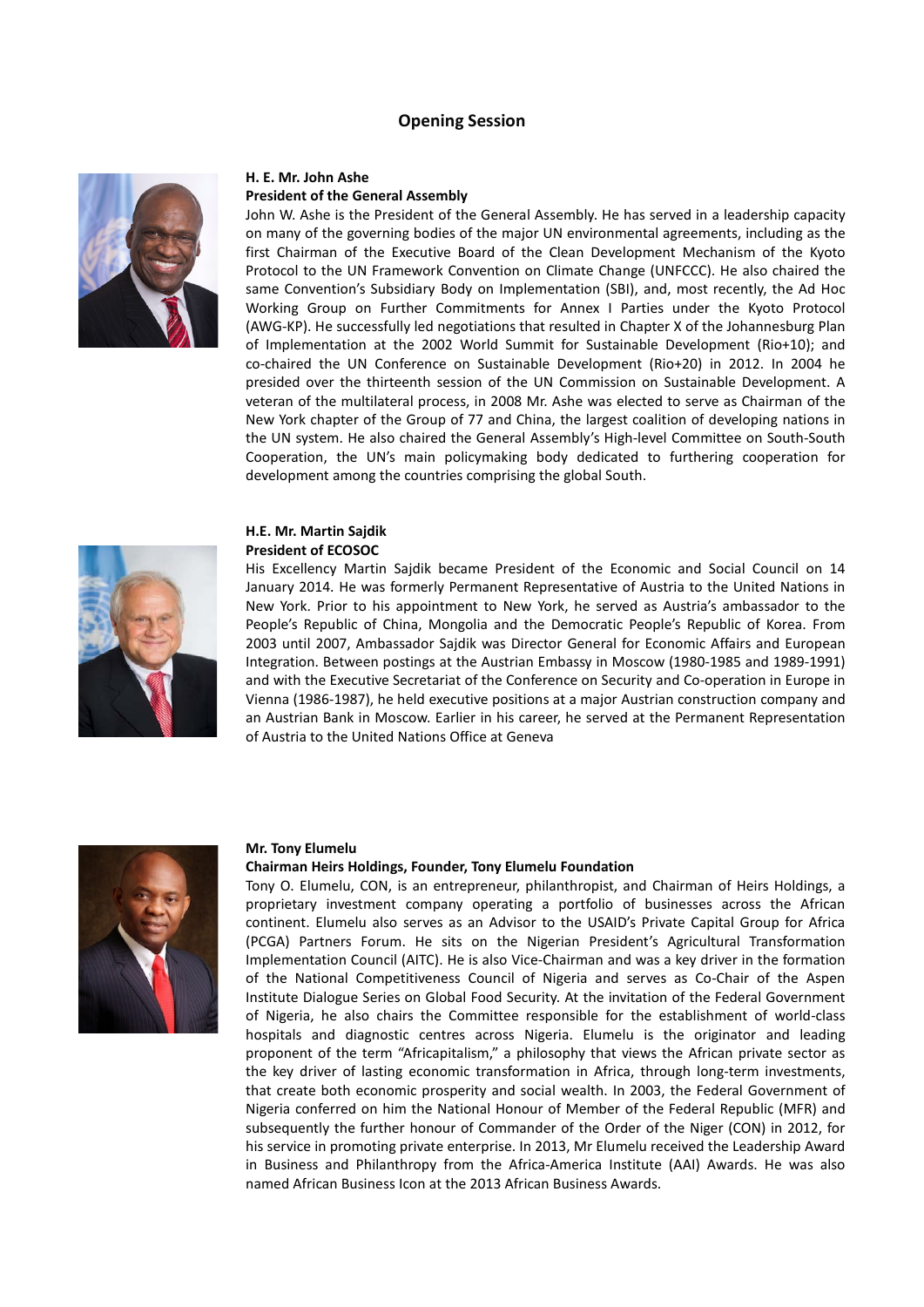# **Opening Session**



# **H. E. Mr. John Ashe**

# **President of the General Assembly**

John W. Ashe is the President of the General Assembly. He has served in a leadership capacity on many of the governing bodies of the major UN environmental agreements, including as the first Chairman of the Executive Board of the Clean Development Mechanism of the Kyoto Protocol to the UN Framework Convention on Climate Change (UNFCCC). He also chaired the same Convention's Subsidiary Body on Implementation (SBI), and, most recently, the Ad Hoc Working Group on Further Commitments for Annex I Parties under the Kyoto Protocol (AWG-KP). He successfully led negotiations that resulted in Chapter X of the Johannesburg Plan of Implementation at the 2002 World Summit for Sustainable Development (Rio+10); and co-chaired the UN Conference on Sustainable Development (Rio+20) in 2012. In 2004 he presided over the thirteenth session of the UN Commission on Sustainable Development. A veteran of the multilateral process, in 2008 Mr. Ashe was elected to serve as Chairman of the New York chapter of the Group of 77 and China, the largest coalition of developing nations in the UN system. He also chaired the General Assembly's High-level Committee on South-South Cooperation, the UN's main policymaking body dedicated to furthering cooperation for development among the countries comprising the global South.

# **H.E. Mr. Martin Sajdik**

# **President of ECOSOC**

His Excellency Martin Sajdik became President of the Economic and Social Council on 14 January 2014. He was formerly Permanent Representative of Austria to the United Nations in New York. Prior to his appointment to New York, he served as Austria's ambassador to the People's Republic of China, Mongolia and the Democratic People's Republic of Korea. From 2003 until 2007, Ambassador Sajdik was Director General for Economic Affairs and European Integration. Between postings at the Austrian Embassy in Moscow (1980-1985 and 1989-1991) and with the Executive Secretariat of the Conference on Security and Co-operation in Europe in Vienna (1986-1987), he held executive positions at a major Austrian construction company and an Austrian Bank in Moscow. Earlier in his career, he served at the Permanent Representation of Austria to the United Nations Office at Geneva



#### **Mr. Tony Elumelu**

#### **Chairman Heirs Holdings, Founder, Tony Elumelu Foundation**

Tony O. Elumelu, CON, is an entrepreneur, philanthropist, and Chairman of Heirs Holdings, a proprietary investment company operating a portfolio of businesses across the African continent. Elumelu also serves as an Advisor to the [USAID's Private Capital Group for Africa](http://www.usaid.gov/news-information/fact-sheets/private-capital-group-africa)  [\(PCGA\) Partners Forum.](http://www.usaid.gov/news-information/fact-sheets/private-capital-group-africa) He sits on the [Nigerian President's Agricultural Transformation](http://www.fmard.org/index.php/who-we-are/principal-officers/atic)  [Implementation Council \(AITC\).](http://www.fmard.org/index.php/who-we-are/principal-officers/atic) He is also Vice-Chairman and was a key driver in the formation of the [National Competitiveness Council of Nigeria](http://fmi.gov.ng/industrial-revolution-jonathan-inaugurates-national-competitiveness-council/) and serves as Co-Chair of the [Aspen](http://www.aspeninstitute.org/policy-work/food-security)  [Institute Dialogue Series on Global Food Security.](http://www.aspeninstitute.org/policy-work/food-security) At the invitation of the Federal Government of Nigeria, he also chairs the [Committee](http://www.investinhealthng.com/platform/sections/about_committee) responsible for the establishment of world-class hospitals and diagnostic centres across Nigeria. Elumelu is the originator and leading proponent of the term ["Africapitalism,"](http://www.heirsholdings.com/company/africapitalism/) a philosophy that views the African private sector as the key driver of lasting economic transformation in Africa, through long-term investments, that create both economic prosperity and social wealth. In 2003, the Federal Government of Nigeria conferred on him the National Honour of Member of the Federal Republic (MFR) and subsequently the further honour of Commander of the Order of the Niger (CON) in 2012, for his service in promoting private enterprise. In 2013, Mr Elumelu received the Leadership Award in Business and Philanthropy from the Africa-America Institute (AAI) Awards. He was also named African Business Icon at the 2013 African Business Awards.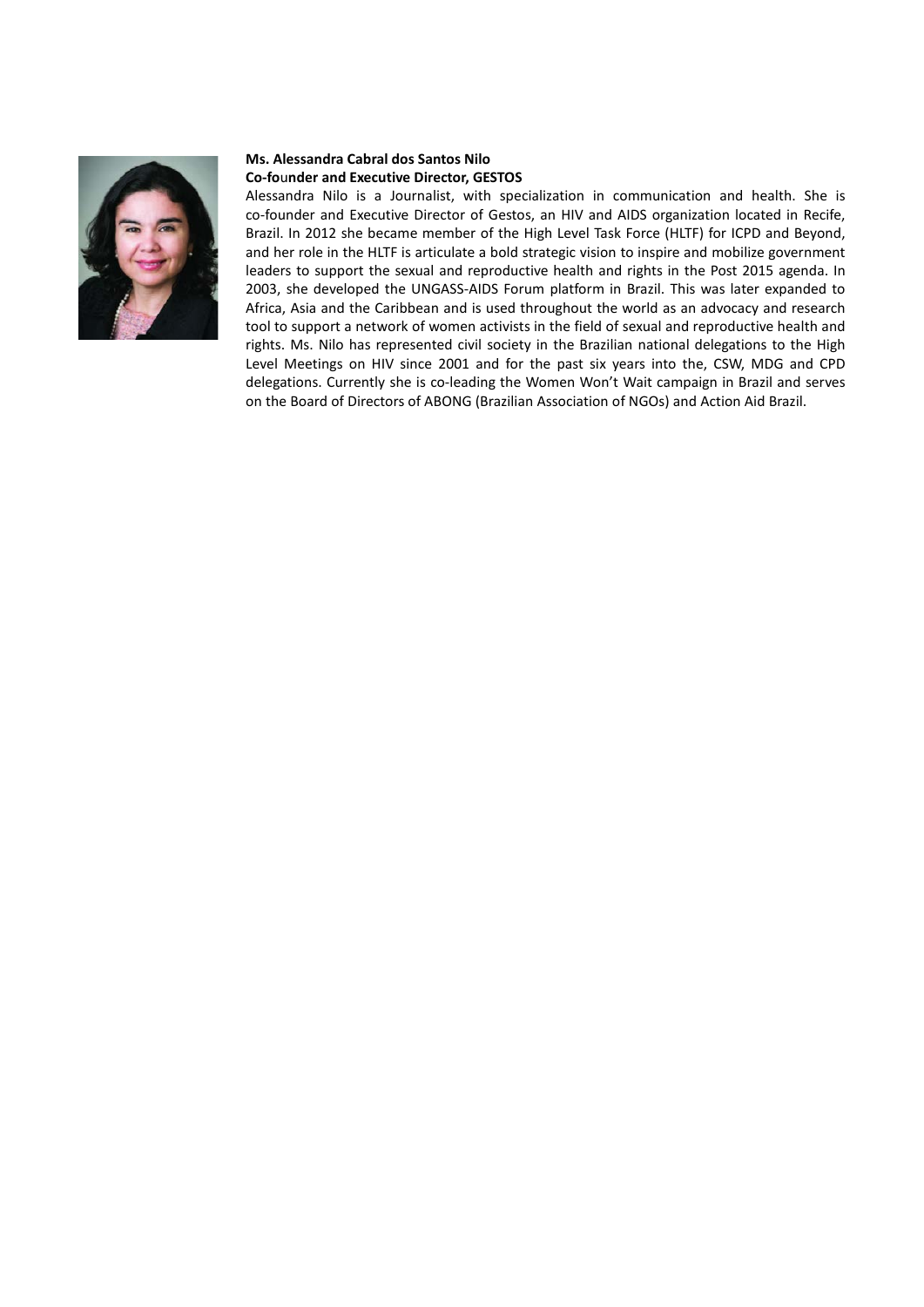

# **Ms. Alessandra Cabral dos Santos Nilo Co-fo**u**nder and Executive Director, GESTOS**

Alessandra Nilo is a Journalist, with specialization in communication and health. She is co-founder and Executive Director of Gestos, an HIV and AIDS organization located in Recife, Brazil. In 2012 she became member of the High Level Task Force (HLTF) for ICPD and Beyond, and her role in the HLTF is articulate a bold strategic vision to inspire and mobilize government leaders to support the sexual and reproductive health and rights in the Post 2015 agenda. In 2003, she developed the UNGASS-AIDS Forum platform in Brazil. This was later expanded to Africa, Asia and the Caribbean and is used throughout the world as an advocacy and research tool to support a network of women activists in the field of sexual and reproductive health and rights. Ms. Nilo has represented civil society in the Brazilian national delegations to the High Level Meetings on HIV since 2001 and for the past six years into the, CSW, MDG and CPD delegations. Currently she is co-leading the Women Won't Wait campaign in Brazil and serves on the Board of Directors of ABONG (Brazilian Association of NGOs) and Action Aid Brazil.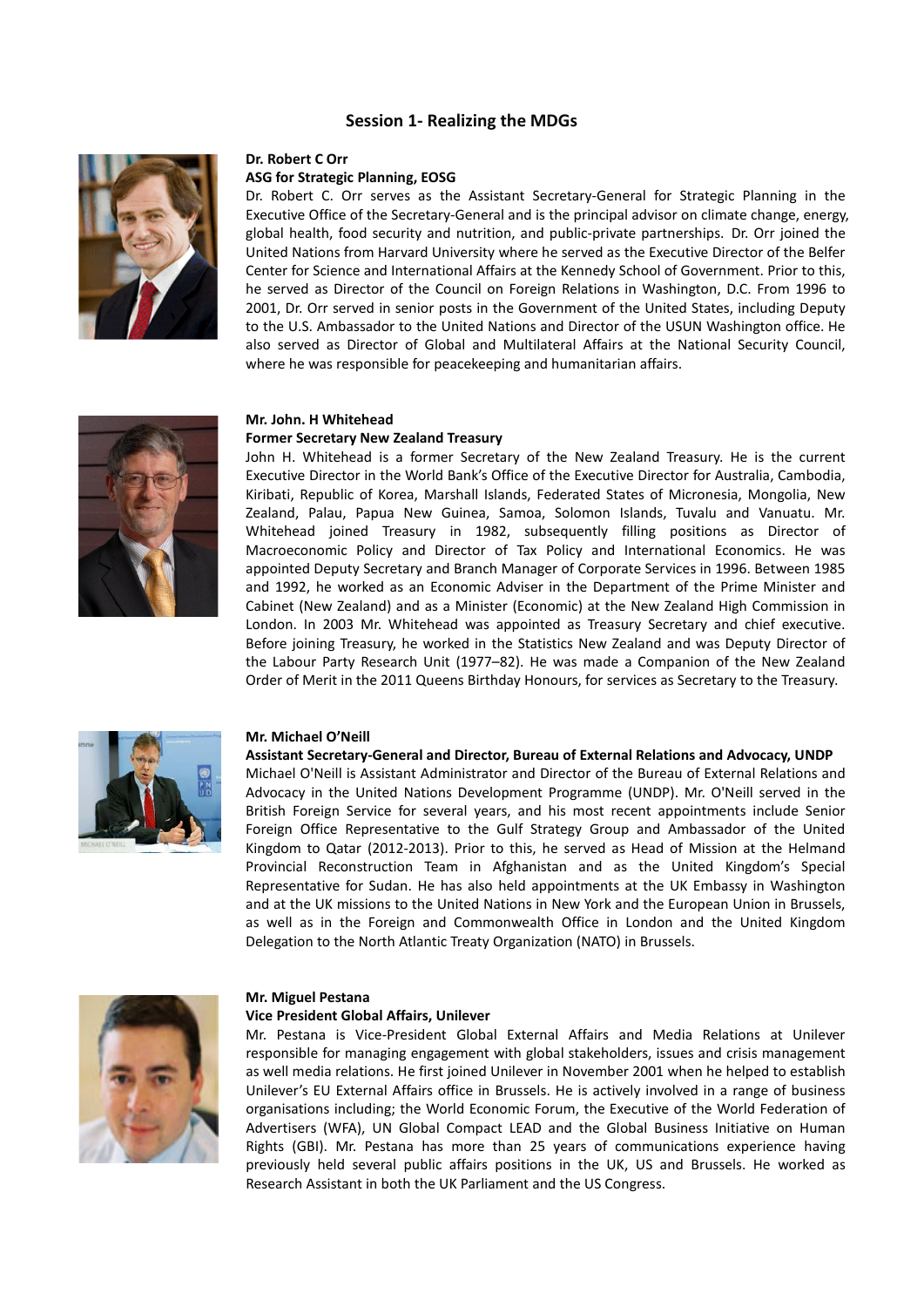# **Session 1- Realizing the MDGs**



# **Dr. Robert C Orr**

# **ASG for Strategic Planning, EOSG**

Dr. Robert C. Orr serves as the Assistant Secretary-General for Strategic Planning in the Executive Office of the Secretary-General and is the principal advisor on climate change, energy, global health, food security and nutrition, and public-private partnerships. Dr. Orr joined the United Nations from Harvard University where he served as the Executive Director of the Belfer Center for Science and International Affairs at the Kennedy School of Government. Prior to this, he served as Director of the Council on Foreign Relations in Washington, D.C. From 1996 to 2001, Dr. Orr served in senior posts in the Government of the United States, including Deputy to the U.S. Ambassador to the United Nations and Director of the USUN Washington office. He also served as Director of Global and Multilateral Affairs at the National Security Council, where he was responsible for peacekeeping and humanitarian affairs.



# **Mr. John. H Whitehead**

## **Former Secretary New Zealand Treasury**

John H. Whitehead is a former Secretary of the [New Zealand](http://www.reachinformation.com/define/New%20Zealand.aspx) Treasury. He is the current Executive Director in the World Bank's Office of the Executive Director for Australia, Cambodia, Kiribati, Republic of Korea, Marshall Islands, Federated States of Micronesia, Mongolia, New Zealand, Palau, Papua New Guinea, Samoa, Solomon Islands, Tuvalu and Vanuatu. Mr. Whitehead joined Treasury in 1982, subsequently filling positions as Director of Macroeconomic Policy and Director of Tax Policy and International Economics. He was appointed Deputy Secretary and Branch Manager of Corporate Services in 1996. Between 1985 and 1992, he worked as an Economic Adviser in the [Department of the Prime Minister and](http://www.reachinformation.com/define/Department%20of%20the%20Prime%20Minister%20and%20Cabinet%20(New%20Zealand).aspx)  [Cabinet \(New Zealand\)](http://www.reachinformation.com/define/Department%20of%20the%20Prime%20Minister%20and%20Cabinet%20(New%20Zealand).aspx) and as a Minister (Economic) at the [New Zealand High Commission in](http://www.reachinformation.com/define/New%20Zealand%20High%20Commission%20in%20London.aspx)  [London.](http://www.reachinformation.com/define/New%20Zealand%20High%20Commission%20in%20London.aspx) In 2003 Mr. Whitehead was appointed as Treasury Secretary and chief executive. Before joining Treasury, he worked in the [Statistics New Zealand](http://www.reachinformation.com/define/Statistics%20New%20Zealand.aspx) and was Deputy Director of the Labour Party Research Unit (1977–82). He was made a Companion of the [New Zealand](http://www.reachinformation.com/define/New%20Zealand%20Order%20of%20Merit.aspx)  [Order of Merit](http://www.reachinformation.com/define/New%20Zealand%20Order%20of%20Merit.aspx) in the 2011 Queens Birthday Honours, for services as Secretary to the Treasury.



#### **Mr. Michael O'Neill**

## **Assistant Secretary-General and Director, Bureau of External Relations and Advocacy, UNDP**

Michael O'Neill is Assistant Administrator and Director of the Bureau of External Relations and Advocacy in the United Nations Development Programme (UNDP). Mr. O'Neill served in the British Foreign Service for several years, and his most recent appointments include Senior Foreign Office Representative to the Gulf Strategy Group and Ambassador of the United Kingdom to Qatar (2012-2013). Prior to this, he served as Head of Mission at the Helmand Provincial Reconstruction Team in Afghanistan and as the United Kingdom's Special Representative for Sudan. He has also held appointments at the UK Embassy in Washington and at the UK missions to the United Nations in New York and the European Union in Brussels, as well as in the Foreign and Commonwealth Office in London and the United Kingdom Delegation to the North Atlantic Treaty Organization (NATO) in Brussels.



#### **Mr. Miguel Pestana**

#### **Vice President Global Affairs, Unilever**

Mr. Pestana is Vice-President Global External Affairs and Media Relations at Unilever responsible for managing engagement with global stakeholders, issues and crisis management as well media relations. He first joined Unilever in November 2001 when he helped to establish Unilever's EU External Affairs office in Brussels. He is actively involved in a range of business organisations including; the World Economic Forum, the Executive of the World Federation of Advertisers (WFA), UN Global Compact LEAD and the Global Business Initiative on Human Rights (GBI). Mr. Pestana has more than 25 years of communications experience having previously held several public affairs positions in the UK, US and Brussels. He worked as Research Assistant in both the UK Parliament and the US Congress.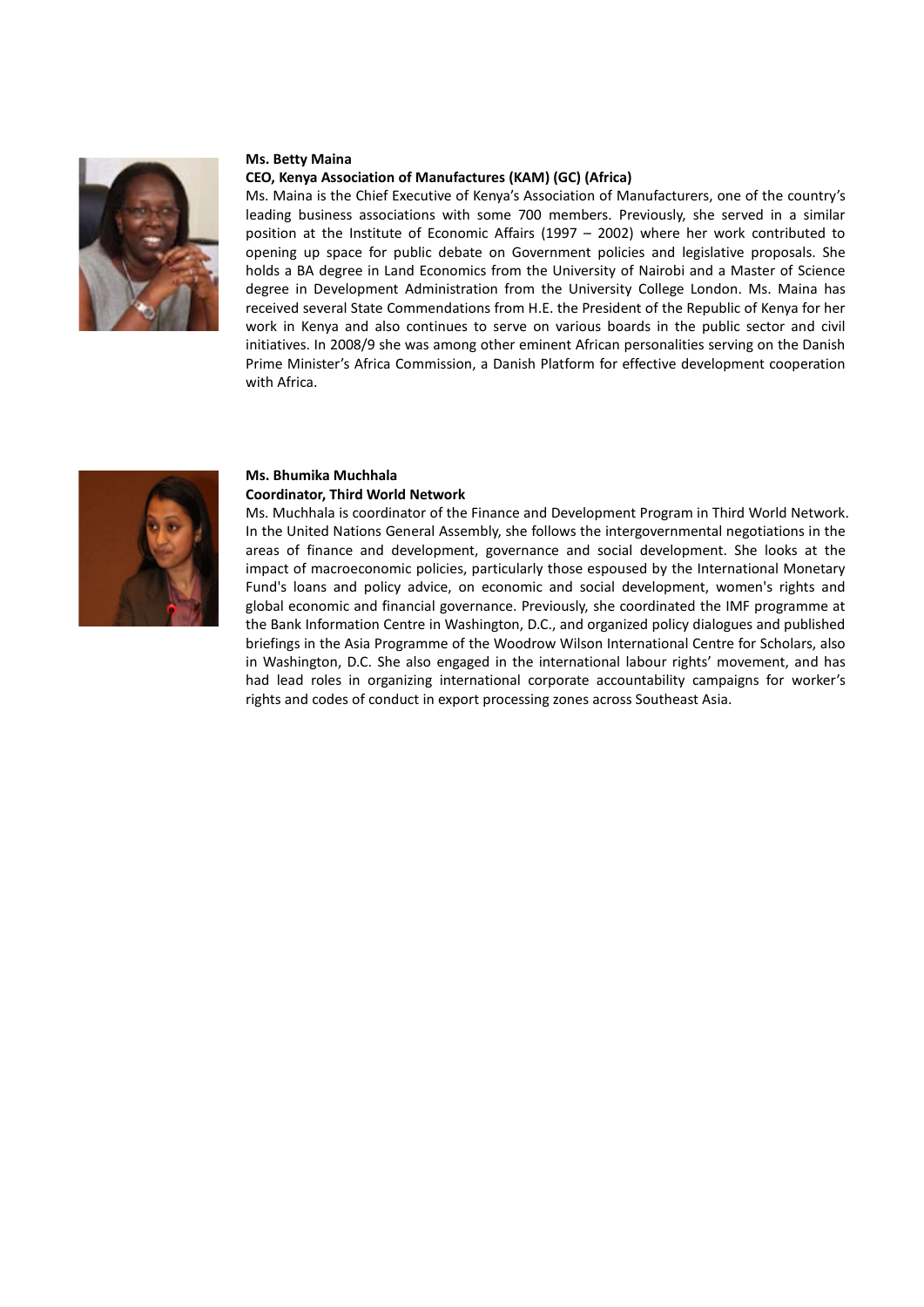

# **Ms. Betty Maina**

#### **CEO, Kenya Association of Manufactures (KAM) (GC) (Africa)**

Ms. Maina is the Chief Executive of Kenya's Association of Manufacturers, one of the country's leading business associations with some 700 members. Previously, she served in a similar position at the Institute of Economic Affairs (1997 – 2002) where her work contributed to opening up space for public debate on Government policies and legislative proposals. She holds a BA degree in Land Economics from the University of Nairobi and a Master of Science degree in Development Administration from the University College London. Ms. Maina has received several State Commendations from H.E. the President of the Republic of Kenya for her work in Kenya and also continues to serve on various boards in the public sector and civil initiatives. In 2008/9 she was among other eminent African personalities serving on the Danish Prime Minister's Africa Commission, a Danish Platform for effective development cooperation with Africa.



## **Ms. Bhumika Muchhala Coordinator, Third World Network**

Ms. Muchhala is coordinator of the Finance and Development Program in Third World Network. In the United Nations General Assembly, she follows the intergovernmental negotiations in the areas of finance and development, governance and social development. She looks at the impact of macroeconomic policies, particularly those espoused by the International Monetary Fund's loans and policy advice, on economic and social development, women's rights and global economic and financial governance. Previously, she coordinated the IMF programme at the Bank Information Centre in Washington, D.C., and organized policy dialogues and published briefings in the Asia Programme of the Woodrow Wilson International Centre for Scholars, also in Washington, D.C. She also engaged in the international labour rights' movement, and has had lead roles in organizing international corporate accountability campaigns for worker's rights and codes of conduct in export processing zones across Southeast Asia.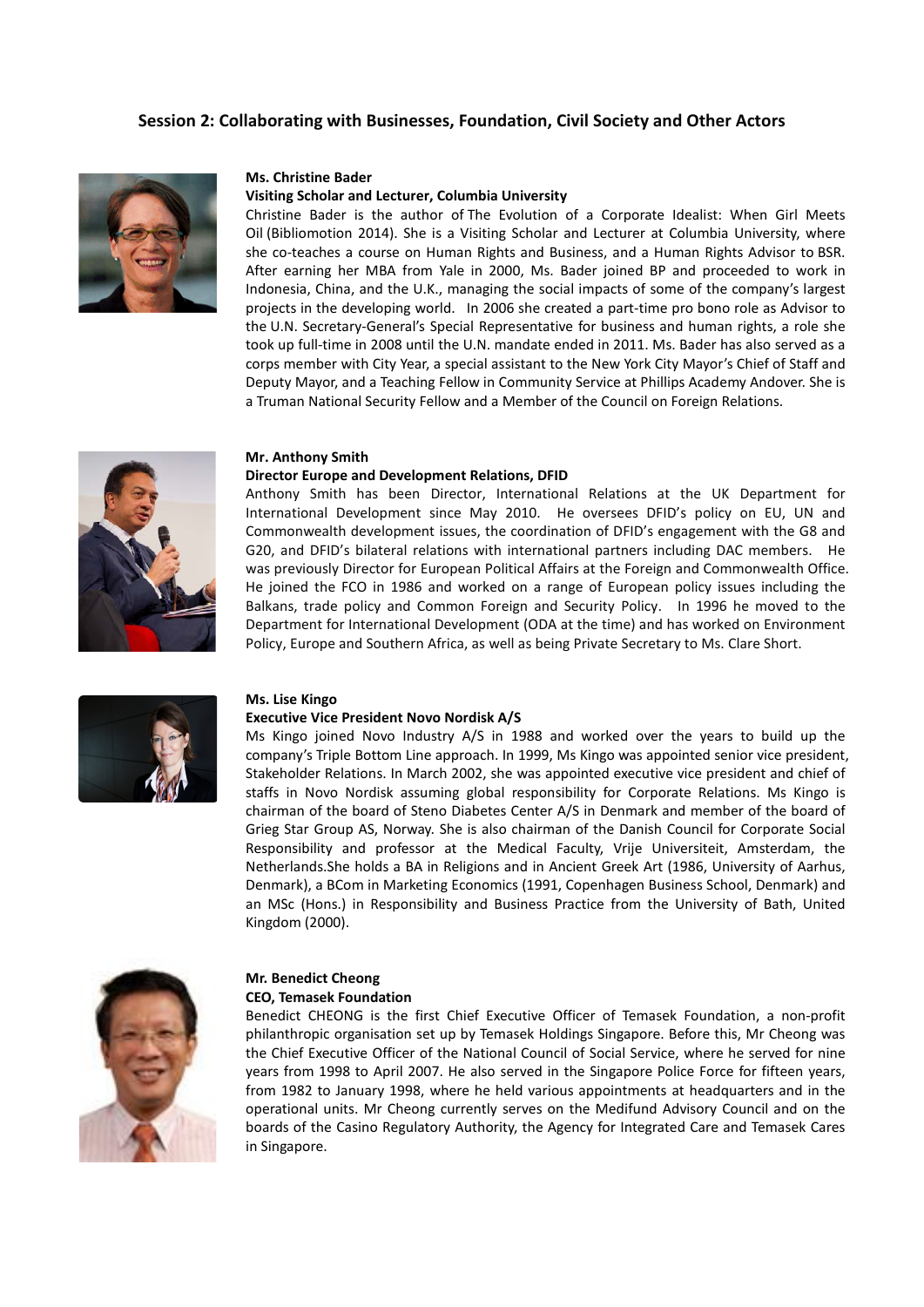# **Session 2: Collaborating with Businesses, Foundation, Civil Society and Other Actors**



#### **Ms. Christine Bader**

#### **Visiting Scholar and Lecturer, Columbia University**

Christine Bader is the author of The Evolution of a Corporate Idealist: When Girl Meets Oil (Bibliomotion 2014). She is a Visiting Scholar and Lecturer at Columbia University, where she co-teaches a course on Human Rights and Business, and a Human Rights Advisor to BSR. After earning her MBA from Yale in 2000, Ms. Bader joined BP and proceeded to work in Indonesia, China, and the U.K., managing the social impacts of some of the company's largest projects in the developing world. In 2006 she created a part-time pro bono role as Advisor to the U.N. Secretary-General's Special Representative for business and human rights, a role she took up full-time in 2008 until the U.N. mandate ended in 2011. Ms. Bader has also served as a corps member with City Year, a special assistant to the New York City Mayor's Chief of Staff and Deputy Mayor, and a Teaching Fellow in Community Service at Phillips Academy Andover. She is a Truman National Security Fellow and a Member of the Council on Foreign Relations.

#### **Mr[. Anthony Smith](http://www.dev-practitioners.eu/fileadmin/user_upload/SC_10_D2_SMALLANDMEDIUM_015.JPG)**

#### **[Director Europe and Development Relations, DFID](http://www.dev-practitioners.eu/fileadmin/user_upload/SC_10_D2_SMALLANDMEDIUM_015.JPG)**

Anthony Smith has been Director, International Relations at the UK Department for International Development since May 2010. He oversees DFID's policy on EU, UN and Commonwealth development issues, the coordination of DFID's engagement with the G8 and G20, and DFID's bilateral relations with international partners including DAC members. He was previously Director for European Political Affairs at the Foreign and Commonwealth Office. He joined the FCO in 1986 and worked on a range of European policy issues including the Balkans, trade policy and Common Foreign and Security Policy. In 1996 he moved to the Department for International Development (ODA at the time) and has worked on Environment Policy, Europe and Southern Africa, as well as being Private Secretary to Ms. Clare Short.



#### **Ms. Lise Kingo**

#### **Executive Vice President Novo Nordisk A/S**

Ms Kingo joined Novo Industry A/S in 1988 and worked over the years to build up the company's Triple Bottom Line approach. In 1999, Ms Kingo was appointed senior vice president, Stakeholder Relations. In March 2002, she was appointed executive vice president and chief of staffs in Novo Nordisk assuming global responsibility for Corporate Relations. Ms Kingo is chairman of the board of Steno Diabetes Center A/S in Denmark and member of the board of Grieg Star Group AS, Norway. She is also chairman of the Danish Council for Corporate Social Responsibility and professor at the Medical Faculty, Vrije Universiteit, Amsterdam, the Netherlands.She holds a BA in Religions and in Ancient Greek Art (1986, University of Aarhus, Denmark), a BCom in Marketing Economics (1991, Copenhagen Business School, Denmark) and an MSc (Hons.) in Responsibility and Business Practice from the University of Bath, United Kingdom (2000).



## **Mr. Benedict Cheong CEO, Temasek Foundation**

Benedict CHEONG is the first Chief Executive Officer of Temasek Foundation, a non-profit philanthropic organisation set up by Temasek Holdings Singapore. Before this, Mr Cheong was the Chief Executive Officer of the National Council of Social Service, where he served for nine years from 1998 to April 2007. He also served in the Singapore Police Force for fifteen years, from 1982 to January 1998, where he held various appointments at headquarters and in the operational units. Mr Cheong currently serves on the Medifund Advisory Council and on the boards of the Casino Regulatory Authority, the Agency for Integrated Care and Temasek Cares in Singapore.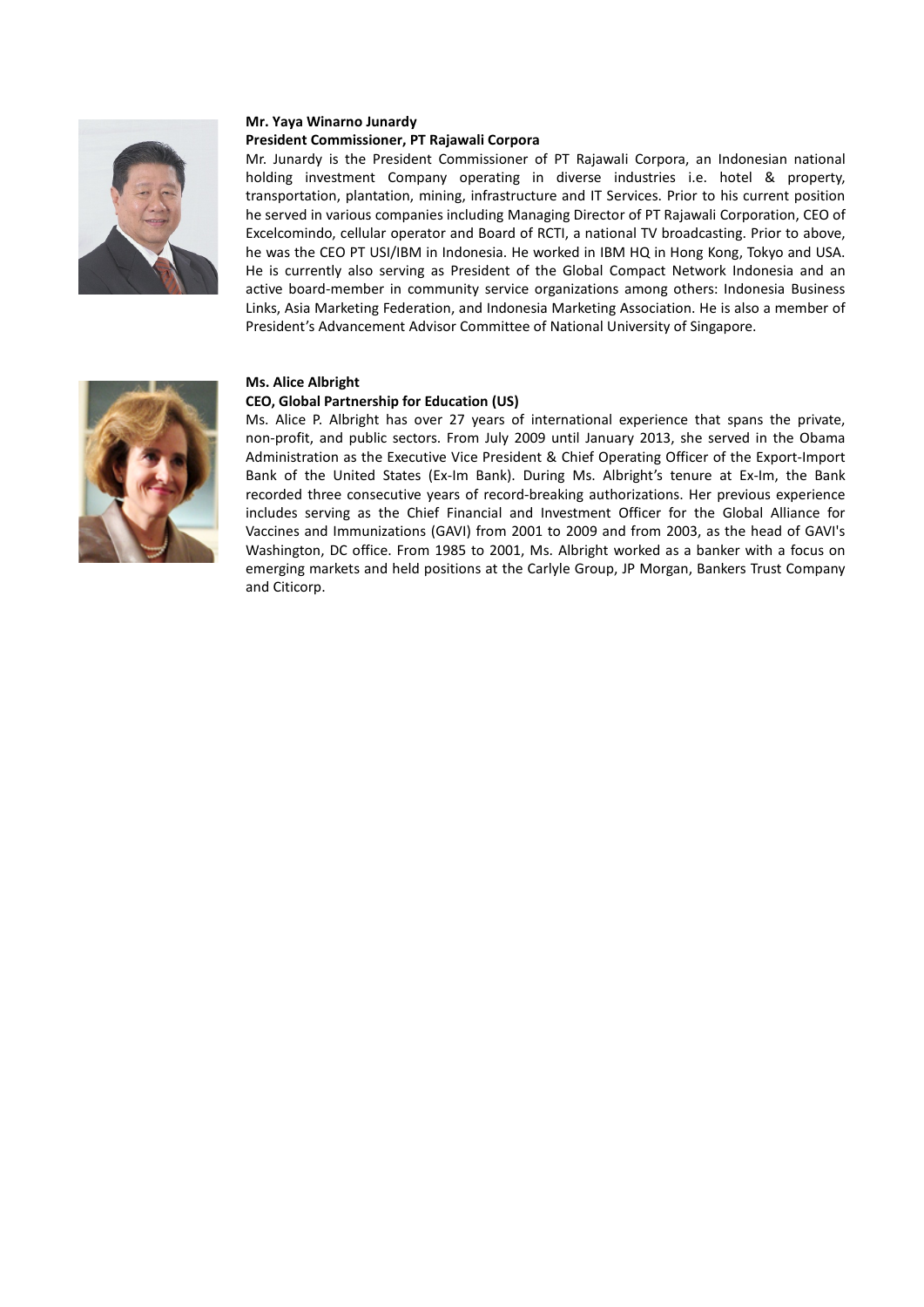

# **Mr. Yaya Winarno Junardy President Commissioner, PT Rajawali Corpora**

Mr. Junardy is the President Commissioner of PT Rajawali Corpora, an Indonesian national holding investment Company operating in diverse industries i.e. hotel & property, transportation, plantation, mining, infrastructure and IT Services. Prior to his current position he served in various companies including Managing Director of PT Rajawali Corporation, CEO of Excelcomindo, cellular operator and Board of RCTI, a national TV broadcasting. Prior to above, he was the CEO PT USI/IBM in Indonesia. He worked in IBM HQ in Hong Kong, Tokyo and USA. He is currently also serving as President of the Global Compact Network Indonesia and an active board-member in community service organizations among others: Indonesia Business Links, Asia Marketing Federation, and Indonesia Marketing Association. He is also a member of President's Advancement Advisor Committee of National University of Singapore.



# **Ms. Alice Albright**

# **CEO, Global Partnership for Education (US)**

Ms. Alice P. Albright has over 27 years of international experience that spans the private, non-profit, and public sectors. From July 2009 until January 2013, she served in the Obama Administration as the Executive Vice President & Chief Operating Officer of the Export-Import Bank of the United States (Ex-Im Bank). During Ms. Albright's tenure at Ex-Im, the Bank recorded three consecutive years of record-breaking authorizations. Her previous experience includes serving as the Chief Financial and Investment Officer for the Global Alliance for Vaccines and Immunizations (GAVI) from 2001 to 2009 and from 2003, as the head of GAVI's Washington, DC office. From 1985 to 2001, Ms. Albright worked as a banker with a focus on emerging markets and held positions at the Carlyle Group, JP Morgan, Bankers Trust Company and Citicorp.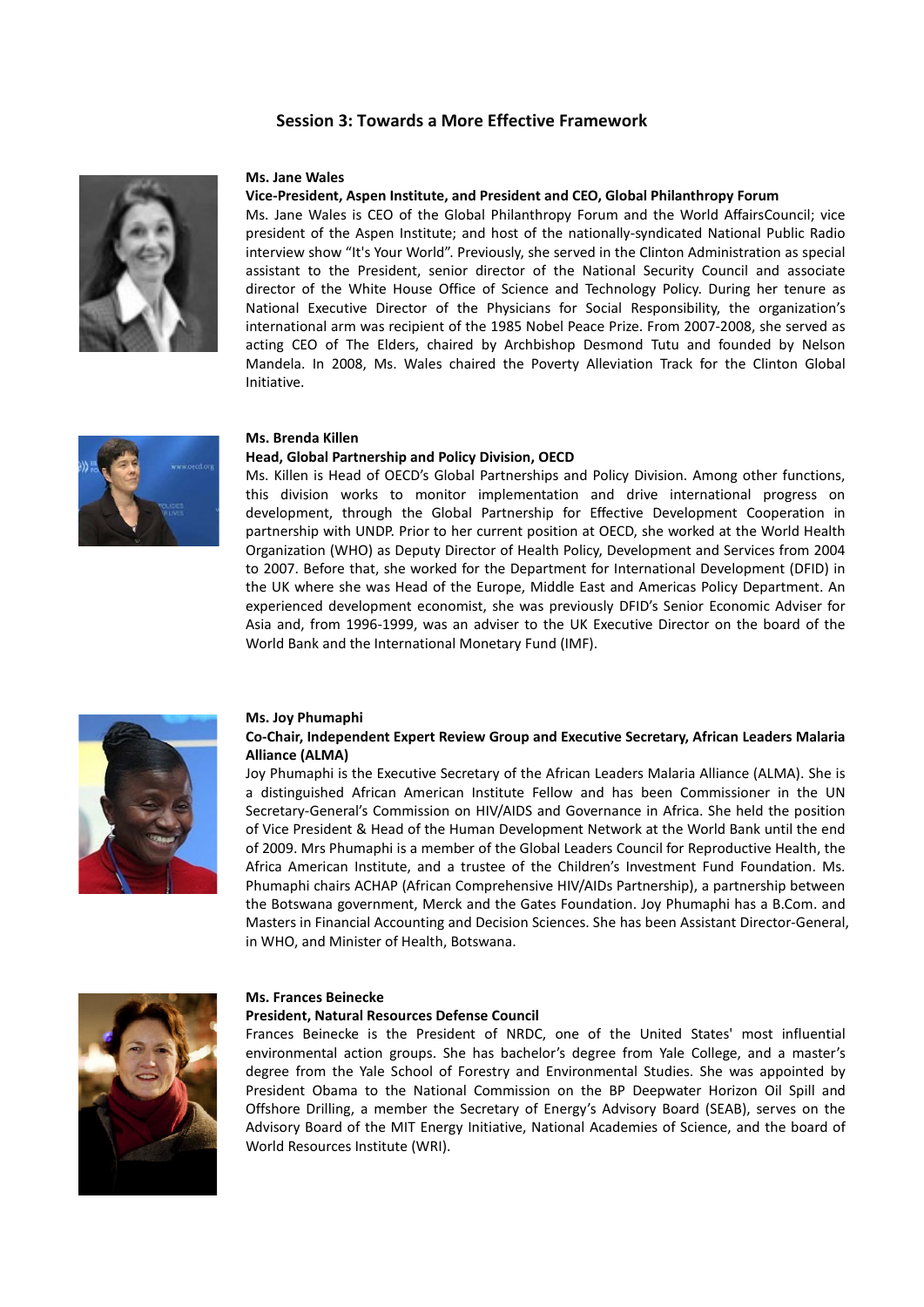# **Session 3: Towards a More Effective Framework**



#### **Ms. Jane Wales**

## **Vice-President, Aspen Institute, and President and CEO, Global Philanthropy Forum**

Ms. Jane Wales is CEO of the Global Philanthropy Forum and the World AffairsCouncil; vice president of the Aspen Institute; and host of the nationally-syndicated National Public Radio interview show "It's Your World". Previously, she served in the Clinton Administration as special assistant to the President, senior director of the National Security Council and associate director of the White House Office of Science and Technology Policy. During her tenure as National Executive Director of the Physicians for Social Responsibility, the organization's international arm was recipient of the 1985 Nobel Peace Prize. From 2007-2008, she served as acting CEO of The Elders, chaired by Archbishop Desmond Tutu and founded by Nelson Mandela. In 2008, Ms. Wales chaired the Poverty Alleviation Track for the Clinton Global Initiative.



# **Ms. Brenda Killen**

#### **Head, Global Partnership and Policy Division, OECD**

Ms. Killen is Head of OECD's Global Partnerships and Policy Division. Among other functions, this division works to monitor implementation and drive international progress on development, through the Global Partnership for Effective Development Cooperation in partnership with UNDP. Prior to her current position at OECD, she worked at the World Health Organization (WHO) as Deputy Director of Health Policy, Development and Services from 2004 to 2007. Before that, she worked for the Department for International Development (DFID) in the UK where she was Head of the Europe, Middle East and Americas Policy Department. An experienced development economist, she was previously DFID's Senior Economic Adviser for Asia and, from 1996-1999, was an adviser to the UK Executive Director on the board of the World Bank and the International Monetary Fund (IMF).



#### **Ms. Joy Phumaphi**

## **Co-Chair, Independent Expert Review Group and Executive Secretary, African Leaders Malaria Alliance (ALMA)**

Joy Phumaphi is the Executive Secretary of the African Leaders Malaria Alliance (ALMA). She is a distinguished African American Institute Fellow and has been Commissioner in the UN Secretary-General's Commission on HIV/AIDS and Governance in Africa. She held the position of Vice President & Head of the Human Development Network at the World Bank until the end of 2009. Mrs Phumaphi is a member of the Global Leaders Council for Reproductive Health, the Africa American Institute, and a trustee of the Children's Investment Fund Foundation. Ms. Phumaphi chairs ACHAP (African Comprehensive HIV/AIDs Partnership), a partnership between the Botswana government, Merck and the Gates Foundation. Joy Phumaphi has a B.Com. and Masters in Financial Accounting and Decision Sciences. She has been Assistant Director-General, in WHO, and Minister of Health, Botswana.



#### **Ms. Frances Beinecke**

#### **President, Natural Resources Defense Council**

Frances Beinecke is the President of NRDC, one of the United States' most influential environmental action groups. She has bachelor's degree from Yale College, and a master's degree from the Yale School of Forestry and Environmental Studies. She was appointed by President Obama to the National Commission on the BP Deepwater Horizon Oil Spill and Offshore Drilling, a member the Secretary of Energy's Advisory Board (SEAB), serves on the Advisory Board of the MIT Energy Initiative, National Academies of Science, and the board of World Resources Institute (WRI).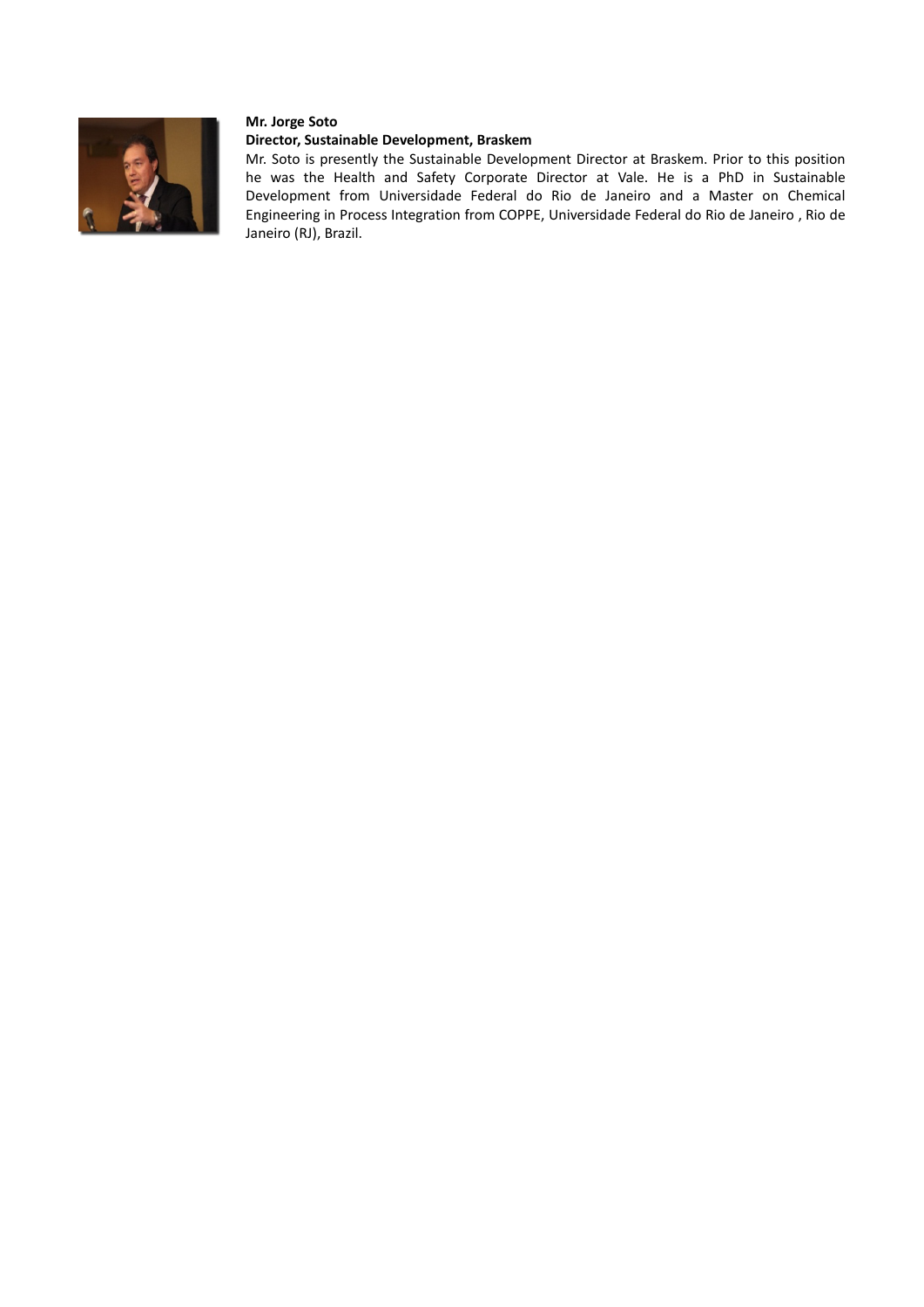

## **Mr. Jorge Soto**

# **Director, Sustainable Development, Braskem**

Mr. Soto is presently the [Sustainable Development Director](http://www.yatedo.com/s/jobtitle%3A%28Sustainable+Development+Director%29) at [Braskem.](http://www.yatedo.com/s/companyname%3A%28%22Braskem%22%29) Prior to this position he was the [Health and Safety Corporate Director](http://www.yatedo.com/s/jobtitle%3A%28Health+and+Safety+Corporate+Director%29) at [Vale.](http://www.yatedo.com/s/companyname%3A%28%22Vale%22%29) He is a [PhD](http://www.yatedo.com/s/degreetype%3A%28PhD%29) in [Sustainable](http://www.yatedo.com/s/degreesubject%3A%28Sustainable+Development%29)  [Development](http://www.yatedo.com/s/degreesubject%3A%28Sustainable+Development%29) from [Universidade Federal do](http://www.yatedo.com/s/schoolname%3A%28Universidade+Federal+do+Rio+de+Janeiro%29) Rio de Janeiro and a [Master on Chemical](http://www.yatedo.com/s/degreetype%3A%28Master+on+Chemical+Engineering%29)  [Engineering](http://www.yatedo.com/s/degreetype%3A%28Master+on+Chemical+Engineering%29) in [Process Integration](http://www.yatedo.com/s/degreesubject%3A%28Process+Integration%29) fro[m COPPE, Universidade Federal do Rio de Janeiro , Rio de](http://www.yatedo.com/s/schoolname%3A%28COPPE%2C+Universidade+Federal+do+Rio+de+Janeiro+-+Rio+de+Janeiro+%28RJ%29%2C+Brazil%29)  [Janeiro \(RJ\), Brazil.](http://www.yatedo.com/s/schoolname%3A%28COPPE%2C+Universidade+Federal+do+Rio+de+Janeiro+-+Rio+de+Janeiro+%28RJ%29%2C+Brazil%29)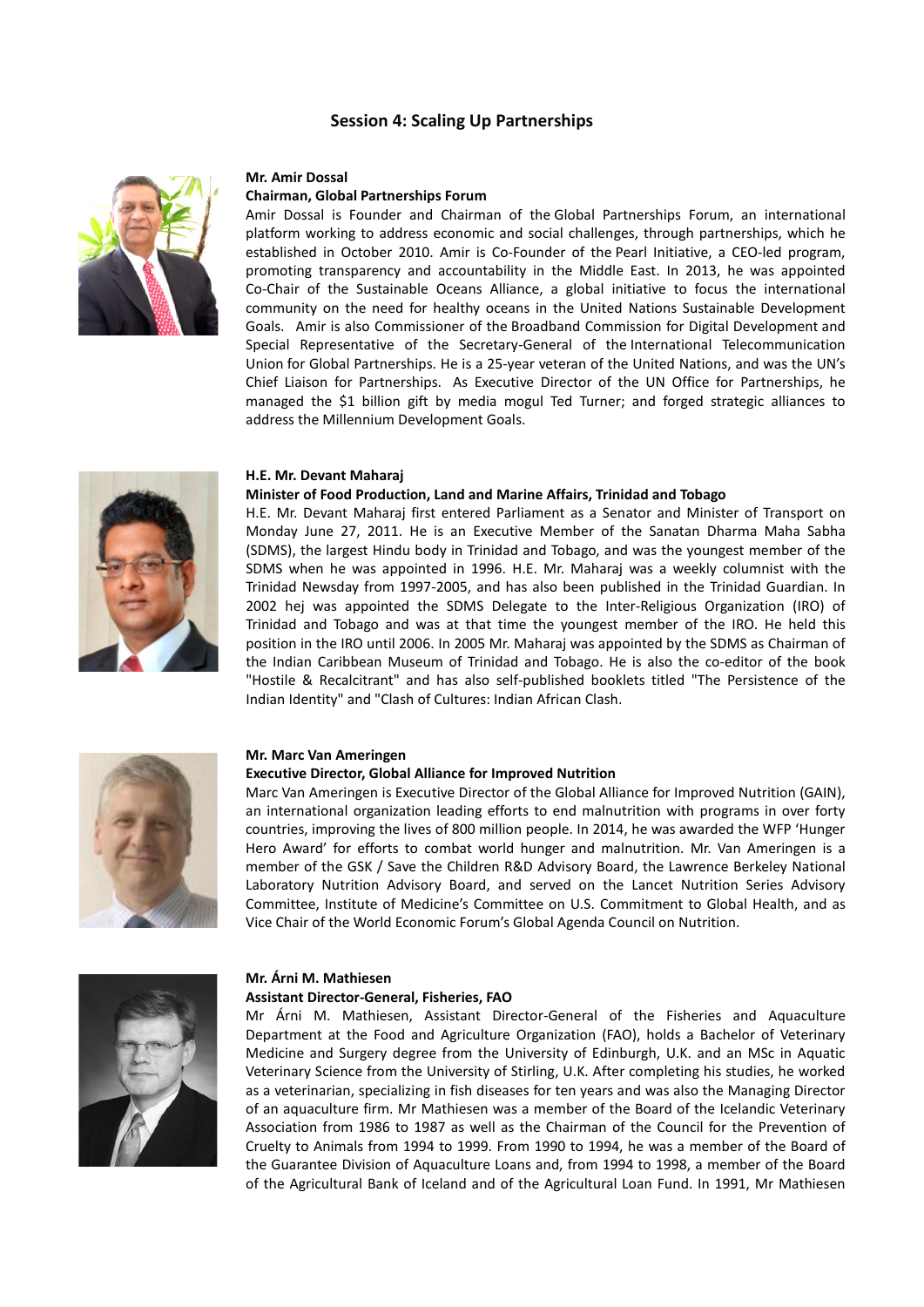# **Session 4: Scaling Up Partnerships**



#### **Mr. Amir Dossal**

# **Chairman, Global Partnerships Forum**

Amir Dossal is Founder and Chairman of the Global Partnerships Forum, an international platform working to address economic and social challenges, through partnerships, which he established in October 2010. Amir is Co-Founder of the Pearl Initiative, a CEO-led program, promoting transparency and accountability in the Middle East. In 2013, he was appointed Co-Chair of the Sustainable Oceans Alliance, a global initiative to focus the international community on the need for healthy oceans in the United Nations Sustainable Development Goals. Amir is also Commissioner of the Broadband Commission for Digital Development and Special Representative of the Secretary-General of the International Telecommunication Union for Global Partnerships. He is a 25-year veteran of the United Nations, and was the UN's Chief Liaison for Partnerships. As Executive Director of the UN Office for Partnerships, he managed the \$1 billion gift by media mogul Ted Turner; and forged strategic alliances to address the Millennium Development Goals.

## **H.E. Mr. Devant Maharaj**

#### **[Minister of Food Production, Land and Marine Affairs,](mailto:minagri@wow.net) Trinidad and Tobago**

H.E. Mr. Devant Maharaj first entered Parliament as a Senator and Minister of Transport on Monday June 27, 2011. He is an Executive Member of the Sanatan Dharma Maha Sabha (SDMS), the largest Hindu body in Trinidad and Tobago, and was the youngest member of the SDMS when he was appointed in 1996. H.E. Mr. Maharaj was a weekly columnist with the Trinidad Newsday from 1997-2005, and has also been published in the Trinidad Guardian. In 2002 hej was appointed the SDMS Delegate to the Inter-Religious Organization (IRO) of Trinidad and Tobago and was at that time the youngest member of the IRO. He held this position in the IRO until 2006. In 2005 Mr. Maharaj was appointed by the SDMS as Chairman of the Indian Caribbean Museum of Trinidad and Tobago. He is also the co-editor of the book "Hostile & Recalcitrant" and has also self-published booklets titled "The Persistence of the Indian Identity" and "Clash of Cultures: Indian African Clash.



#### **Mr. Marc Van Ameringen**

#### **Executive Director, Global Alliance for Improved Nutrition**

Marc Van Ameringen is Executive Director of the Global Alliance for Improved Nutrition (GAIN), an international organization leading efforts to end malnutrition with programs in over forty countries, improving the lives of 800 million people. In 2014, he was awarded the WFP 'Hunger Hero Award' for efforts to combat world hunger and malnutrition. Mr. Van Ameringen is a member of the GSK / Save the Children R&D Advisory Board, the Lawrence Berkeley National Laboratory Nutrition Advisory Board, and served on the Lancet Nutrition Series Advisory Committee, Institute of Medicine's Committee on U.S. Commitment to Global Health, and as Vice Chair of the World Economic Forum's Global Agenda Council on Nutrition.



# **Mr. Árni M. Mathiesen**

# **Assistant Director-General, Fisheries, FAO**

Mr Árni M. Mathiesen, Assistant Director-General of the Fisheries and Aquaculture Department at the Food and Agriculture Organization (FAO), holds a Bachelor of Veterinary Medicine and Surgery degree from the University of Edinburgh, U.K. and an MSc in Aquatic Veterinary Science from the University of Stirling, U.K. After completing his studies, he worked as a veterinarian, specializing in fish diseases for ten years and was also the Managing Director of an aquaculture firm. Mr Mathiesen was a member of the Board of the Icelandic Veterinary Association from 1986 to 1987 as well as the Chairman of the Council for the Prevention of Cruelty to Animals from 1994 to 1999. From 1990 to 1994, he was a member of the Board of the Guarantee Division of Aquaculture Loans and, from 1994 to 1998, a member of the Board of the Agricultural Bank of Iceland and of the Agricultural Loan Fund. In 1991, Mr Mathiesen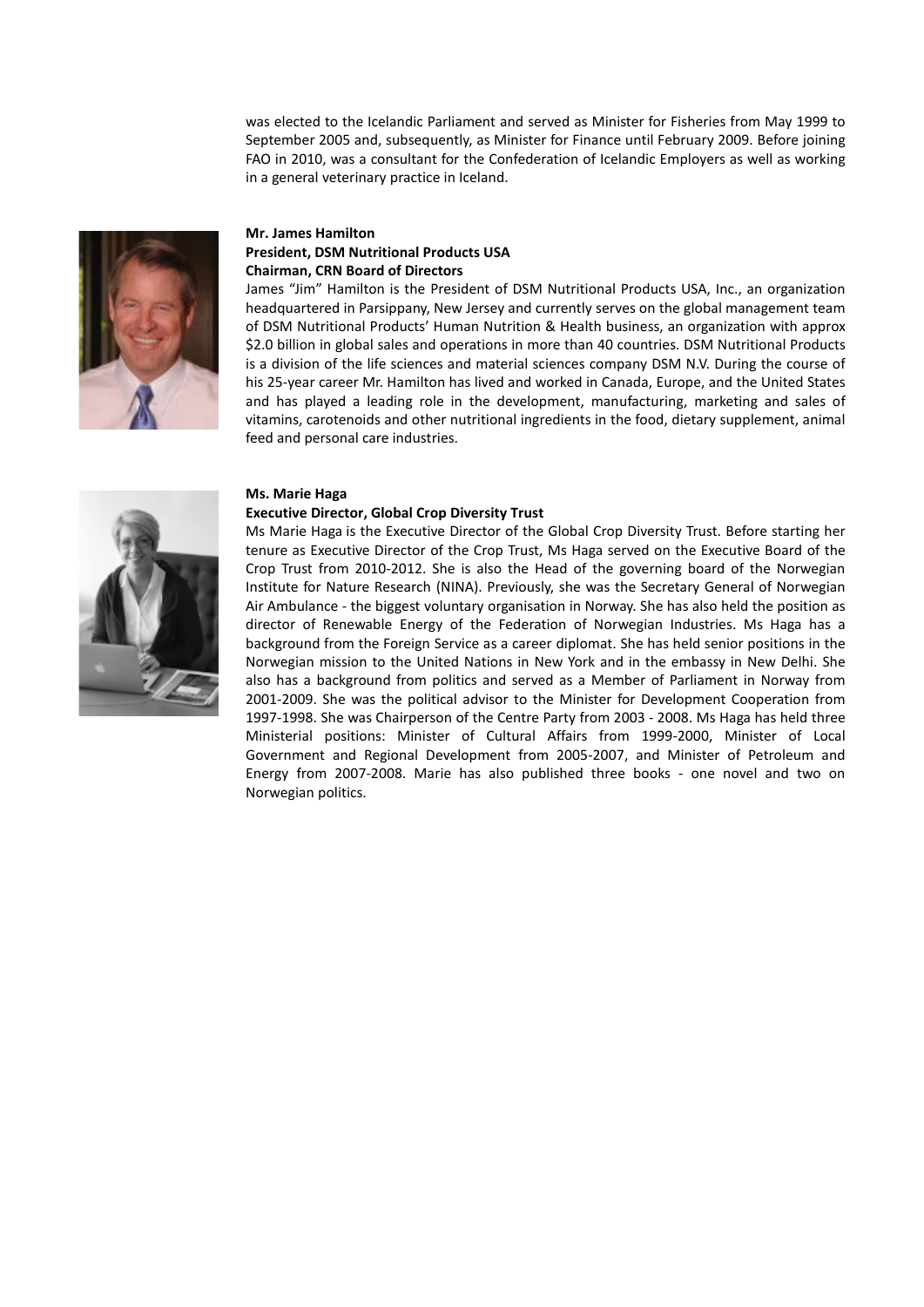was elected to the Icelandic Parliament and served as Minister for Fisheries from May 1999 to September 2005 and, subsequently, as Minister for Finance until February 2009. Before joining FAO in 2010, was a consultant for the Confederation of Icelandic Employers as well as working in a general veterinary practice in Iceland.



# **Mr. James Hamilton President, DSM Nutritional Products USA Chairman, CRN Board of Directors**

James "Jim" Hamilton is the President of DSM Nutritional Products USA, Inc., an organization headquartered in Parsippany, New Jersey and currently serves on the global management team of DSM Nutritional Products' Human Nutrition & Health business, an organization with approx \$2.0 billion in global sales and operations in more than 40 countries. DSM Nutritional Products is a division of the life sciences and material sciences company DSM N.V. During the course of his 25-year career Mr. Hamilton has lived and worked in Canada, Europe, and the United States and has played a leading role in the development, manufacturing, marketing and sales of vitamins, carotenoids and other nutritional ingredients in the food, dietary supplement, animal feed and personal care industries.

## **Ms. Marie Haga**

#### **Executive Director, Global Crop Diversity Trust**



Ms Marie Haga is the Executive Director of the Global Crop Diversity Trust. Before starting her tenure as Executive Director of the Crop Trust, Ms Haga served on the Executive Board of the Crop Trust from 2010-2012. She is also the Head of the governing board of the Norwegian Institute for Nature Research (NINA). Previously, she was the Secretary General of Norwegian Air Ambulance - the biggest voluntary organisation in Norway. She has also held the position as director of Renewable Energy of the Federation of Norwegian Industries. Ms Haga has a background from the Foreign Service as a career diplomat. She has held senior positions in the Norwegian mission to the United Nations in New York and in the embassy in New Delhi. She also has a background from politics and served as a Member of Parliament in Norway from 2001-2009. She was the political advisor to the Minister for Development Cooperation from 1997-1998. She was Chairperson of the Centre Party from 2003 - 2008. Ms Haga has held three Ministerial positions: Minister of Cultural Affairs from 1999-2000, Minister of Local Government and Regional Development from 2005-2007, and Minister of Petroleum and Energy from 2007-2008. Marie has also published three books - one novel and two on Norwegian politics.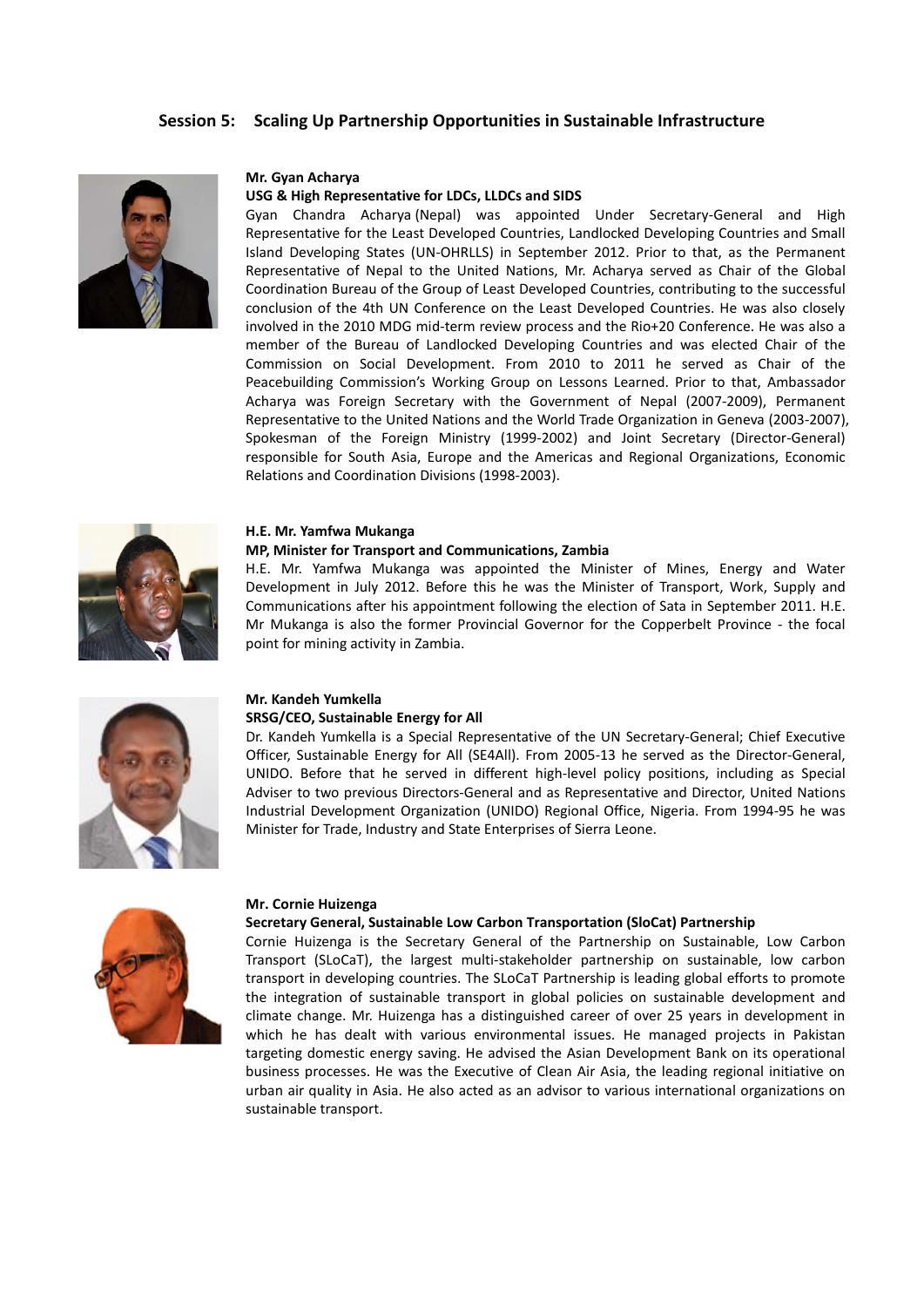# **Session 5: Scaling Up Partnership Opportunities in Sustainable Infrastructure**



#### **Mr. Gyan Acharya**

#### **USG & High Representative for LDCs, LLDCs and SIDS**

Gyan Chandra Acharya (Nepal) was appointed Under Secretary-General and High Representative for the Least Developed Countries, Landlocked Developing Countries and Small Island Developing States (UN-OHRLLS) in September 2012. Prior to that, as the Permanent Representative of Nepal to the United Nations, Mr. Acharya served as Chair of the Global Coordination Bureau of the Group of Least Developed Countries, contributing to the successful conclusion of the 4th UN Conference on the Least Developed Countries. He was also closely involved in the 2010 MDG mid-term review process and the Rio+20 Conference. He was also a member of the Bureau of Landlocked Developing Countries and was elected Chair of the Commission on Social Development. From 2010 to 2011 he served as Chair of the Peacebuilding Commission's Working Group on Lessons Learned. Prior to that, Ambassador Acharya was Foreign Secretary with the Government of Nepal (2007-2009), Permanent Representative to the United Nations and the World Trade Organization in Geneva (2003-2007), Spokesman of the Foreign Ministry (1999-2002) and Joint Secretary (Director-General) responsible for South Asia, Europe and the Americas and Regional Organizations, Economic Relations and Coordination Divisions (1998-2003).



#### **H.E. Mr. Yamfwa Mukanga**

## **MP, Minister for Transport and Communications, Zambia**

H.E. Mr. Yamfwa Mukanga was appointed the Minister of Mines, Energy and Water Development in July 2012. Before this he was the Minister of Transport, Work, Supply and Communications after his appointment following the election of Sata in September 2011. H.E. Mr Mukanga is also the former Provincial Governor for the Copperbelt Province - the focal point for mining activity in Zambia.



## **Mr. Kandeh Yumkella**

#### **SRSG/CEO, Sustainable Energy for All**

Dr. Kandeh Yumkella is a Special Representative of the UN Secretary-General; Chief Executive Officer, Sustainable Energy for All (SE4All). From 2005-13 he served as the Director-General, UNIDO. Before that he served in different high-level policy positions, including as Special Adviser to two previous Directors-General and as Representative and Director, United Nations Industrial Development Organization (UNIDO) Regional Office, Nigeria. From 1994-95 he was Minister for Trade, Industry and State Enterprises of Sierra Leone.



#### **Mr. Cornie Huizenga**

#### **Secretary General, Sustainable Low Carbon Transportation (SloCat) Partnership**

Cornie Huizenga is the Secretary General of the Partnership on Sustainable, Low Carbon Transport (SLoCaT), the largest multi-stakeholder partnership on sustainable, low carbon transport in developing countries. The SLoCaT Partnership is leading global efforts to promote the integration of sustainable transport in global policies on sustainable development and climate change. Mr. Huizenga has a distinguished career of over 25 years in development in which he has dealt with various environmental issues. He managed projects in Pakistan targeting domestic energy saving. He advised the Asian Development Bank on its operational business processes. He was the Executive of Clean Air Asia, the leading regional initiative on urban air quality in Asia. He also acted as an advisor to various international organizations on sustainable transport.